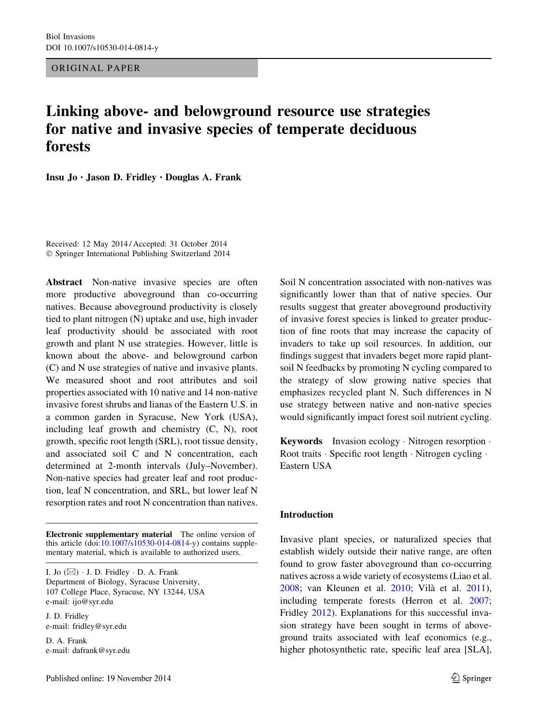ORIGINAL PAPER

# Linking above- and belowground resource use strategies for native and invasive species of temperate deciduous forests

Insu Jo • Jason D. Fridley • Douglas A. Frank

Received: 12 May 2014 / Accepted: 31 October 2014 - Springer International Publishing Switzerland 2014

Abstract Non-native invasive species are often more productive aboveground than co-occurring natives. Because aboveground productivity is closely tied to plant nitrogen (N) uptake and use, high invader leaf productivity should be associated with root growth and plant N use strategies. However, little is known about the above- and belowground carbon (C) and N use strategies of native and invasive plants. We measured shoot and root attributes and soil properties associated with 10 native and 14 non-native invasive forest shrubs and lianas of the Eastern U.S. in a common garden in Syracuse, New York (USA), including leaf growth and chemistry (C, N), root growth, specific root length (SRL), root tissue density, and associated soil C and N concentration, each determined at 2-month intervals (July–November). Non-native species had greater leaf and root production, leaf N concentration, and SRL, but lower leaf N resorption rates and root N concentration than natives.

Electronic supplementary material The online version of this article (doi[:10.1007/s10530-014-0814-y\)](http://dx.doi.org/10.1007/s10530-014-0814-y) contains supplementary material, which is available to authorized users.

I. Jo  $(\boxtimes)$   $\cdot$  J. D. Fridley  $\cdot$  D. A. Frank Department of Biology, Syracuse University, 107 College Place, Syracuse, NY 13244, USA e-mail: ijo@syr.edu

J. D. Fridley e-mail: fridley@syr.edu

D. A. Frank e-mail: dafrank@syr.edu Soil N concentration associated with non-natives was significantly lower than that of native species. Our results suggest that greater aboveground productivity of invasive forest species is linked to greater production of fine roots that may increase the capacity of invaders to take up soil resources. In addition, our findings suggest that invaders beget more rapid plantsoil N feedbacks by promoting N cycling compared to the strategy of slow growing native species that emphasizes recycled plant N. Such differences in N use strategy between native and non-native species would significantly impact forest soil nutrient cycling.

Keywords Invasion ecology · Nitrogen resorption · Root traits · Specific root length · Nitrogen cycling · Eastern USA

#### Introduction

Invasive plant species, or naturalized species that establish widely outside their native range, are often found to grow faster aboveground than co-occurring natives across a wide variety of ecosystems (Liao et al. [2008;](#page-9-0) van Kleunen et al. [2010;](#page-9-0) Vila` et al. [2011](#page-9-0)), including temperate forests (Herron et al. [2007](#page-8-0); Fridley [2012](#page-8-0)). Explanations for this successful invasion strategy have been sought in terms of aboveground traits associated with leaf economics (e.g., higher photosynthetic rate, specific leaf area [SLA],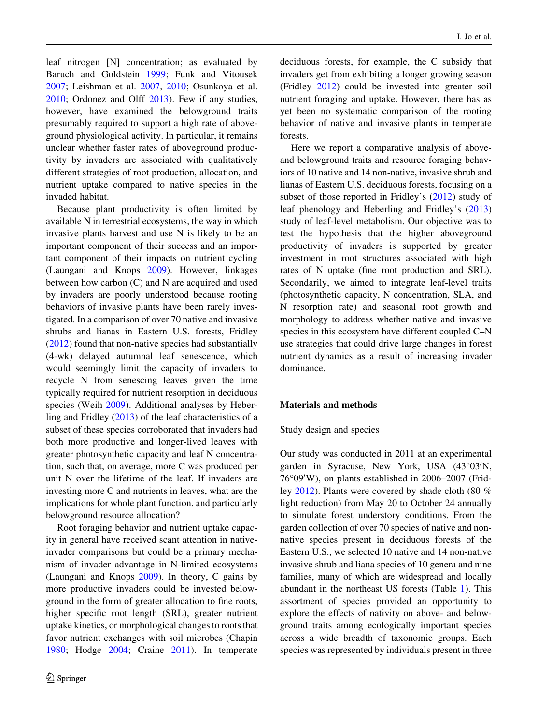I. Jo et al.

leaf nitrogen [N] concentration; as evaluated by Baruch and Goldstein [1999;](#page-8-0) Funk and Vitousek [2007;](#page-8-0) Leishman et al. [2007,](#page-8-0) [2010](#page-8-0); Osunkoya et al. [2010;](#page-9-0) Ordonez and Olff [2013\)](#page-9-0). Few if any studies, however, have examined the belowground traits presumably required to support a high rate of aboveground physiological activity. In particular, it remains unclear whether faster rates of aboveground productivity by invaders are associated with qualitatively different strategies of root production, allocation, and nutrient uptake compared to native species in the invaded habitat.

Because plant productivity is often limited by available N in terrestrial ecosystems, the way in which invasive plants harvest and use N is likely to be an important component of their success and an important component of their impacts on nutrient cycling (Laungani and Knops [2009\)](#page-8-0). However, linkages between how carbon (C) and N are acquired and used by invaders are poorly understood because rooting behaviors of invasive plants have been rarely investigated. In a comparison of over 70 native and invasive shrubs and lianas in Eastern U.S. forests, Fridley [\(2012](#page-8-0)) found that non-native species had substantially (4-wk) delayed autumnal leaf senescence, which would seemingly limit the capacity of invaders to recycle N from senescing leaves given the time typically required for nutrient resorption in deciduous species (Weih [2009\)](#page-9-0). Additional analyses by Heberling and Fridley [\(2013](#page-8-0)) of the leaf characteristics of a subset of these species corroborated that invaders had both more productive and longer-lived leaves with greater photosynthetic capacity and leaf N concentration, such that, on average, more C was produced per unit N over the lifetime of the leaf. If invaders are investing more C and nutrients in leaves, what are the implications for whole plant function, and particularly belowground resource allocation?

Root foraging behavior and nutrient uptake capacity in general have received scant attention in nativeinvader comparisons but could be a primary mechanism of invader advantage in N-limited ecosystems (Laungani and Knops [2009](#page-8-0)). In theory, C gains by more productive invaders could be invested belowground in the form of greater allocation to fine roots, higher specific root length (SRL), greater nutrient uptake kinetics, or morphological changes to roots that favor nutrient exchanges with soil microbes (Chapin [1980;](#page-8-0) Hodge [2004](#page-8-0); Craine [2011](#page-8-0)). In temperate

deciduous forests, for example, the C subsidy that invaders get from exhibiting a longer growing season (Fridley [2012](#page-8-0)) could be invested into greater soil nutrient foraging and uptake. However, there has as yet been no systematic comparison of the rooting behavior of native and invasive plants in temperate forests.

Here we report a comparative analysis of aboveand belowground traits and resource foraging behaviors of 10 native and 14 non-native, invasive shrub and lianas of Eastern U.S. deciduous forests, focusing on a subset of those reported in Fridley's [\(2012](#page-8-0)) study of leaf phenology and Heberling and Fridley's ([2013\)](#page-8-0) study of leaf-level metabolism. Our objective was to test the hypothesis that the higher aboveground productivity of invaders is supported by greater investment in root structures associated with high rates of N uptake (fine root production and SRL). Secondarily, we aimed to integrate leaf-level traits (photosynthetic capacity, N concentration, SLA, and N resorption rate) and seasonal root growth and morphology to address whether native and invasive species in this ecosystem have different coupled C–N use strategies that could drive large changes in forest nutrient dynamics as a result of increasing invader dominance.

# Materials and methods

## Study design and species

Our study was conducted in 2011 at an experimental garden in Syracuse, New York, USA (43°03'N, 76°09'W), on plants established in 2006-2007 (Fridley [2012](#page-8-0)). Plants were covered by shade cloth (80 % light reduction) from May 20 to October 24 annually to simulate forest understory conditions. From the garden collection of over 70 species of native and nonnative species present in deciduous forests of the Eastern U.S., we selected 10 native and 14 non-native invasive shrub and liana species of 10 genera and nine families, many of which are widespread and locally abundant in the northeast US forests (Table [1](#page-2-0)). This assortment of species provided an opportunity to explore the effects of nativity on above- and belowground traits among ecologically important species across a wide breadth of taxonomic groups. Each species was represented by individuals present in three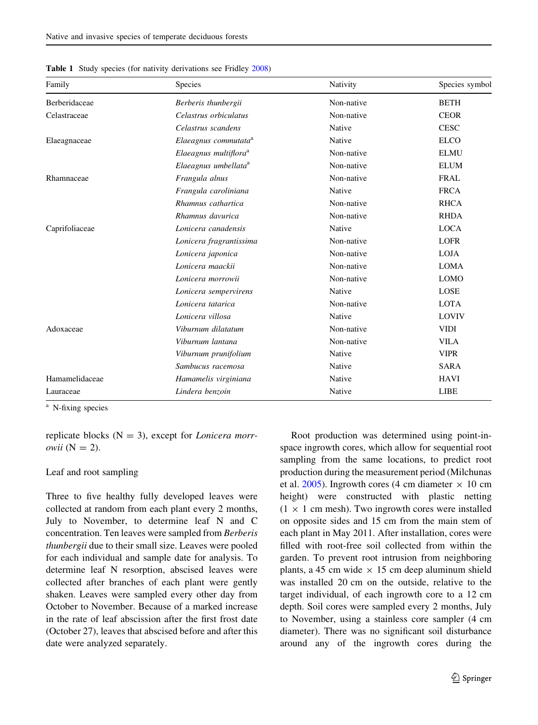| Family         | Species                           | Nativity   | Species symbol |
|----------------|-----------------------------------|------------|----------------|
| Berberidaceae  | Berberis thunbergii               | Non-native | <b>BETH</b>    |
| Celastraceae   | Celastrus orbiculatus             | Non-native | <b>CEOR</b>    |
|                | Celastrus scandens                | Native     | <b>CESC</b>    |
| Elaeagnaceae   | Elaeagnus commutata <sup>a</sup>  | Native     | <b>ELCO</b>    |
|                | Elaeagnus multiflora <sup>a</sup> | Non-native | <b>ELMU</b>    |
|                | Elaeagnus umbellata <sup>a</sup>  | Non-native | <b>ELUM</b>    |
| Rhamnaceae     | Frangula alnus                    | Non-native | <b>FRAL</b>    |
|                | Frangula caroliniana              | Native     | <b>FRCA</b>    |
|                | Rhamnus cathartica                | Non-native | <b>RHCA</b>    |
|                | Rhamnus davurica                  | Non-native | <b>RHDA</b>    |
| Caprifoliaceae | Lonicera canadensis               | Native     | <b>LOCA</b>    |
|                | Lonicera fragrantissima           | Non-native | <b>LOFR</b>    |
|                | Lonicera japonica                 | Non-native | <b>LOJA</b>    |
|                | Lonicera maackii                  | Non-native | <b>LOMA</b>    |
|                | Lonicera morrowii                 | Non-native | <b>LOMO</b>    |
|                | Lonicera sempervirens             | Native     | LOSE           |
|                | Lonicera tatarica                 | Non-native | <b>LOTA</b>    |
|                | Lonicera villosa                  | Native     | LOVIV          |
| Adoxaceae      | Viburnum dilatatum                | Non-native | <b>VIDI</b>    |
|                | Viburnum lantana                  | Non-native | <b>VILA</b>    |
|                | Viburnum prunifolium              | Native     | <b>VIPR</b>    |
|                | Sambucus racemosa                 | Native     | <b>SARA</b>    |
| Hamamelidaceae | Hamamelis virginiana              | Native     | <b>HAVI</b>    |
| Lauraceae      | Lindera benzoin                   | Native     | <b>LIBE</b>    |

<span id="page-2-0"></span>Table 1 Study species (for nativity derivations see Fridley [2008](#page-8-0))

<sup>a</sup> N-fixing species

replicate blocks  $(N = 3)$ , except for *Lonicera morrowii*  $(N = 2)$ .

# Leaf and root sampling

Three to five healthy fully developed leaves were collected at random from each plant every 2 months, July to November, to determine leaf N and C concentration. Ten leaves were sampled from Berberis thunbergii due to their small size. Leaves were pooled for each individual and sample date for analysis. To determine leaf N resorption, abscised leaves were collected after branches of each plant were gently shaken. Leaves were sampled every other day from October to November. Because of a marked increase in the rate of leaf abscission after the first frost date (October 27), leaves that abscised before and after this date were analyzed separately.

Root production was determined using point-inspace ingrowth cores, which allow for sequential root sampling from the same locations, to predict root production during the measurement period (Milchunas et al. [2005](#page-9-0)). Ingrowth cores (4 cm diameter  $\times$  10 cm height) were constructed with plastic netting  $(1 \times 1$  cm mesh). Two ingrowth cores were installed on opposite sides and 15 cm from the main stem of each plant in May 2011. After installation, cores were filled with root-free soil collected from within the garden. To prevent root intrusion from neighboring plants, a 45 cm wide  $\times$  15 cm deep aluminum shield was installed 20 cm on the outside, relative to the target individual, of each ingrowth core to a 12 cm depth. Soil cores were sampled every 2 months, July to November, using a stainless core sampler (4 cm diameter). There was no significant soil disturbance around any of the ingrowth cores during the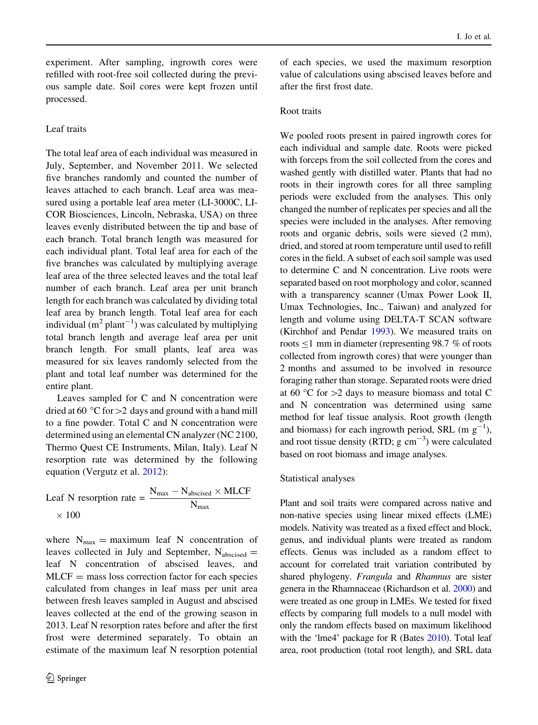experiment. After sampling, ingrowth cores were refilled with root-free soil collected during the previous sample date. Soil cores were kept frozen until processed.

# Leaf traits

The total leaf area of each individual was measured in July, September, and November 2011. We selected five branches randomly and counted the number of leaves attached to each branch. Leaf area was measured using a portable leaf area meter (LI-3000C, LI-COR Biosciences, Lincoln, Nebraska, USA) on three leaves evenly distributed between the tip and base of each branch. Total branch length was measured for each individual plant. Total leaf area for each of the five branches was calculated by multiplying average leaf area of the three selected leaves and the total leaf number of each branch. Leaf area per unit branch length for each branch was calculated by dividing total leaf area by branch length. Total leaf area for each individual  $(m^2 \text{ plant}^{-1})$  was calculated by multiplying total branch length and average leaf area per unit branch length. For small plants, leaf area was measured for six leaves randomly selected from the plant and total leaf number was determined for the entire plant.

Leaves sampled for C and N concentration were dried at 60  $\degree$ C for > 2 days and ground with a hand mill to a fine powder. Total C and N concentration were determined using an elemental CN analyzer (NC 2100, Thermo Quest CE Instruments, Milan, Italy). Leaf N resorption rate was determined by the following equation (Vergutz et al. [2012](#page-9-0)):

Leaf N resorption rate =  $\frac{N_{\text{max}} - N_{\text{abscised}} \times \text{MLCF}}{N_{\text{max}}}$  $\times$  100

where  $N_{\text{max}} =$  maximum leaf N concentration of leaves collected in July and September,  $N_{\text{abscised}} =$ leaf N concentration of abscised leaves, and  $MLCF$  = mass loss correction factor for each species calculated from changes in leaf mass per unit area between fresh leaves sampled in August and abscised leaves collected at the end of the growing season in 2013. Leaf N resorption rates before and after the first frost were determined separately. To obtain an estimate of the maximum leaf N resorption potential

of each species, we used the maximum resorption value of calculations using abscised leaves before and after the first frost date.

# Root traits

We pooled roots present in paired ingrowth cores for each individual and sample date. Roots were picked with forceps from the soil collected from the cores and washed gently with distilled water. Plants that had no roots in their ingrowth cores for all three sampling periods were excluded from the analyses. This only changed the number of replicates per species and all the species were included in the analyses. After removing roots and organic debris, soils were sieved (2 mm), dried, and stored at room temperature until used to refill cores in the field. A subset of each soil sample was used to determine C and N concentration. Live roots were separated based on root morphology and color, scanned with a transparency scanner (Umax Power Look II, Umax Technologies, Inc., Taiwan) and analyzed for length and volume using DELTA-T SCAN software (Kirchhof and Pendar [1993](#page-8-0)). We measured traits on roots  $\leq$ 1 mm in diameter (representing 98.7 % of roots collected from ingrowth cores) that were younger than 2 months and assumed to be involved in resource foraging rather than storage. Separated roots were dried at 60 °C for  $>2$  days to measure biomass and total C and N concentration was determined using same method for leaf tissue analysis. Root growth (length and biomass) for each ingrowth period, SRL (m  $g^{-1}$ ), and root tissue density (RTD;  $g \text{ cm}^{-3}$ ) were calculated based on root biomass and image analyses.

#### Statistical analyses

Plant and soil traits were compared across native and non-native species using linear mixed effects (LME) models. Nativity was treated as a fixed effect and block, genus, and individual plants were treated as random effects. Genus was included as a random effect to account for correlated trait variation contributed by shared phylogeny. Frangula and Rhamnus are sister genera in the Rhamnaceae (Richardson et al. [2000](#page-9-0)) and were treated as one group in LMEs. We tested for fixed effects by comparing full models to a null model with only the random effects based on maximum likelihood with the 'lme4' package for R (Bates [2010\)](#page-8-0). Total leaf area, root production (total root length), and SRL data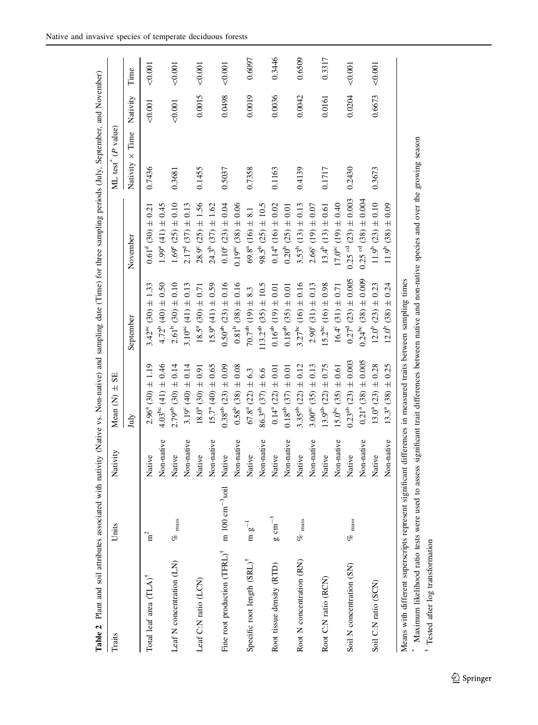<span id="page-4-0"></span>

| Table 2 Plant and soil attributes associated with nativity (Native vs. Non-native) and sampling date (Time) for three sampling periods (July, September, and November) |                     |            |                                |                                     |                                       |                      |          |         |
|------------------------------------------------------------------------------------------------------------------------------------------------------------------------|---------------------|------------|--------------------------------|-------------------------------------|---------------------------------------|----------------------|----------|---------|
| Traits                                                                                                                                                                 | Units               | Nativity   | SE<br>Mean $(N)$ $\pm$         |                                     |                                       | ML test" $(P$ value) |          |         |
|                                                                                                                                                                        |                     |            | July                           | September                           | November                              | Nativity × Time      | Nativity | Time    |
| Total leaf area (TLA) <sup>†</sup>                                                                                                                                     | $\mathbf{n}^2$      | Native     | $2.96^{\circ}$ (30) $\pm$ 1.19 | $3.42^{\circ\circ}$ (30) $\pm$ 1.33 | $0.61^4$ (30) $\pm$ 0.21              | 0.7436               | 0.001    | 0.001   |
|                                                                                                                                                                        |                     | Non-native | $4.03^{\circ}$ (41) $\pm$ 0.46 | $4.72^{b}$ (40) $\pm$ 0.50          | $1.99^{\circ}$ (41) $\pm$ 0.45        |                      |          |         |
| Leaf N concentration (LN)                                                                                                                                              | $\%$ $_{\rm mass}$  | Native     | $2.79^{ab}$ (30) $\pm$ 0.14    | $2.61^{\circ}$ (30) $\pm$ 0.10      | $1.69^{\circ}$ (25) $\pm$ 0.10        | 0.3681               | 0.001    | $0.001$ |
|                                                                                                                                                                        |                     | Non-native | $3.19^{\circ}$ (40) $\pm$ 0.14 | 3.10 <sup>ac</sup> (41) $\pm$ 0.13  | $2.17^d$ (37) $\pm$ 0.13              |                      |          |         |
| Leaf C:N ratio (LCN)                                                                                                                                                   |                     | Native     | $18.0^a$ (30) $\pm$ 0.91       | $18.5^a$ (30) $\pm$ 0.71            | $28.9^{\circ}$ (25) $\pm$ 1.56        | 0.1455               | 0.0015   | 0.001   |
|                                                                                                                                                                        |                     | Non-native | $15.7^a (40) \pm 0.65$         | $15.9^a$ (41) $\pm$ 0.59            | $24.3^{\rm b}$ (37) $\pm$ 1.62        |                      |          |         |
| Fine root production $(TFRL)^{\dagger}$ m 100 cm <sup>-3</sup> soil                                                                                                    |                     | Native     | $0.38^{ab}$ (23) $\pm$ 0.09    | $0.50^{ab}$ (23) $\pm$ 0.16         | $0.10^{\circ}$ (23) $\pm$ 0.04        | 0.5037               | 0.0498   | 0.001   |
|                                                                                                                                                                        |                     | Non-native | $0.58^{\circ}$ (38) $\pm$ 0.08 | $0.81^{\rm b}$ (38) $\pm$ 0.16      | $0.19^{ac}$ (38) $\pm$ 0.06           |                      |          |         |
| Specific root length (SRL) <sup>†</sup>                                                                                                                                | $m g^{-1}$          | Native     | $67.8^{\circ}$ (22) $\pm$ 6.3  | $70.7ab$ (19) $\pm$ 8.3             | $69.8^a$ (16) $\pm$ 8.1               | 0.7358               | 0.0019   | 0.6097  |
|                                                                                                                                                                        |                     | Non-native | $86.3^{ab}$ (37) $\pm$ 6.6     | $113.2^{ab}$ (35) $\pm 10.5$        | $98.5^{\circ}$ (25) $\pm$ 10.5        |                      |          |         |
| Root tissue density (RTD)                                                                                                                                              | $g \text{ cm}^{-3}$ | Native     | $0.14^{\circ}$ (22) $\pm$ 0.01 | $0.16^{ab}$ (19) $\pm$ 0.01         | $0.14^a$ (16) $\pm$ 0.02              | 0.1163               | 0.0036   | 0.3446  |
|                                                                                                                                                                        |                     | Non-native | $0.18^{ab}$ (37) $\pm$ 0.01    | $0.18^{ab}$ (35) $\pm$ 0.01         | $0.20^{b}$ (25) $\pm$ 0.01            |                      |          |         |
| Root N concentration (RN)                                                                                                                                              | $\%$ mass           | Native     | $3.35^{ab}$ (22) $\pm$ 0.12    | $3.27^{\rm bc}$ (16) $\pm$ 0.16     | $3.53^b$ (13) $\pm$ 0.13              | 0.4139               | 0.0042   | 0.6509  |
|                                                                                                                                                                        |                     | Non-native | $3.00^{ac}$ (35) $\pm$ 0.13    | $2.90^{\circ}$ (31) $\pm$ 0.13      | $2.66^{\circ}$ (19) $\pm$ 0.07        |                      |          |         |
| Root C:N ratio (RCN)                                                                                                                                                   |                     | Native     | $13.9^{ab}$ (22) $\pm$ 0.75    | $15.2^{bc}$ (16) $\pm$ 0.98         | $13.4^b$ (13) $\pm$ 0.61              | 0.1717               | 0.0161   | 0.3317  |
|                                                                                                                                                                        |                     | Non-native | $15.0^{bc}$ (35) $\pm$ 0.61    | $16.4^{\circ}$ (31) $\pm$ 0.71      | $17.0^{ac}$ (19) $\pm$ 0.40           |                      |          |         |
| Soil N concentration (SN)                                                                                                                                              | $\%$ mass           | Native     | $0.23^{ab}$ (23) $\pm$ 0.003   | $0.27^4$ (23) $\pm$ 0.005           | $0.25$ <sup>cd</sup> $(23) \pm 0.003$ | 0.2430               | 0.0204   | 0.001   |
|                                                                                                                                                                        |                     | Non-native | $0.21^a$ (38) $\pm$ 0.005      | $0.24^{\rm bc}$ (38) $\pm$ 0.009    | $0.25 \text{ °d} (38) \pm 0.004$      |                      |          |         |
| Soil C:N ratio (SCN)                                                                                                                                                   |                     | Native     | $13.0^{\circ}$ (23) $\pm$ 0.28 | $12.0^b$ (23) $\pm$ 0.23            | $11.9^{\rm b}$ (23) $\pm$ 0.10        | 0.3673               | 0.6673   | 0.001   |
|                                                                                                                                                                        |                     | Non-native | $13.3^{\circ}$ (38) $\pm$ 0.25 | $(2.0^{b} (38) \pm 0.24)$           | $11.9^{\circ}$ (38) $\pm$ 0.09        |                      |          |         |
| Means with different superscripts represent significant differences in measured traits between sampling times                                                          |                     |            |                                |                                     |                                       |                      |          |         |

 $\underline{\textcircled{\tiny 2}}$  Springer

\* Maximum likelihood ratio tests were used to assess significant trait differences between native and non-native species and over the growing season Maximum likelihood ratio tests were used to assess significant trait differences between native and non-native species and over the growing season

 $^\dagger$  Tested after log transformation Tested after log transformation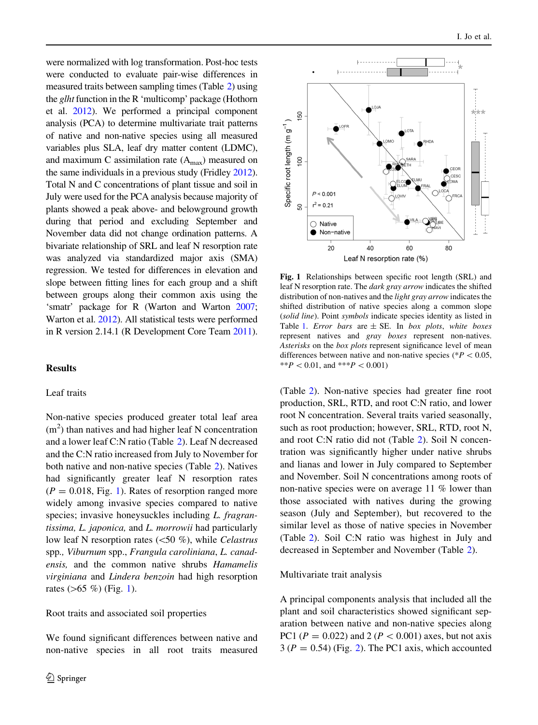<span id="page-5-0"></span>were normalized with log transformation. Post-hoc tests were conducted to evaluate pair-wise differences in measured traits between sampling times (Table [2\)](#page-4-0) using the *glht* function in the R 'multicomp' package (Hothorn et al. [2012](#page-8-0)). We performed a principal component analysis (PCA) to determine multivariate trait patterns of native and non-native species using all measured variables plus SLA, leaf dry matter content (LDMC), and maximum C assimilation rate  $(A<sub>max</sub>)$  measured on the same individuals in a previous study (Fridley [2012\)](#page-8-0). Total N and C concentrations of plant tissue and soil in July were used for the PCA analysis because majority of plants showed a peak above- and belowground growth during that period and excluding September and November data did not change ordination patterns. A bivariate relationship of SRL and leaf N resorption rate was analyzed via standardized major axis (SMA) regression. We tested for differences in elevation and slope between fitting lines for each group and a shift between groups along their common axis using the 'smatr' package for R (Warton and Warton [2007](#page-9-0); Warton et al. [2012](#page-9-0)). All statistical tests were performed in R version 2.14.1 (R Development Core Team [2011\)](#page-9-0).

# Results

## Leaf traits

Non-native species produced greater total leaf area  $(m<sup>2</sup>)$  than natives and had higher leaf N concentration and a lower leaf C:N ratio (Table [2](#page-4-0)). Leaf N decreased and the C:N ratio increased from July to November for both native and non-native species (Table [2](#page-4-0)). Natives had significantly greater leaf N resorption rates  $(P = 0.018, Fig. 1)$ . Rates of resorption ranged more widely among invasive species compared to native species; invasive honeysuckles including L. fragrantissima, L. japonica, and L. morrowii had particularly low leaf N resorption rates  $(<50 %)$ , while Celastrus spp., Viburnum spp., Frangula caroliniana, L. canadensis, and the common native shrubs Hamamelis virginiana and Lindera benzoin had high resorption rates  $(>65 \%)$  (Fig. 1).

Root traits and associated soil properties

We found significant differences between native and non-native species in all root traits measured



Fig. 1 Relationships between specific root length (SRL) and leaf N resorption rate. The dark gray arrow indicates the shifted distribution of non-natives and the light gray arrow indicates the shifted distribution of native species along a common slope (solid line). Point symbols indicate species identity as listed in Table [1](#page-2-0). Error bars are  $\pm$  SE. In box plots, white boxes represent natives and gray boxes represent non-natives. Asterisks on the box plots represent significance level of mean differences between native and non-native species ( $P < 0.05$ , \*\* $P < 0.01$ , and \*\*\* $P < 0.001$ )

(Table [2](#page-4-0)). Non-native species had greater fine root production, SRL, RTD, and root C:N ratio, and lower root N concentration. Several traits varied seasonally, such as root production; however, SRL, RTD, root N, and root C:N ratio did not (Table [2\)](#page-4-0). Soil N concentration was significantly higher under native shrubs and lianas and lower in July compared to September and November. Soil N concentrations among roots of non-native species were on average 11 % lower than those associated with natives during the growing season (July and September), but recovered to the similar level as those of native species in November (Table [2](#page-4-0)). Soil C:N ratio was highest in July and decreased in September and November (Table [2](#page-4-0)).

#### Multivariate trait analysis

A principal components analysis that included all the plant and soil characteristics showed significant separation between native and non-native species along PC1 ( $P = 0.022$ ) and 2 ( $P < 0.001$ ) axes, but not axis  $3 (P = 0.54)$  (Fig. [2\)](#page-6-0). The PC1 axis, which accounted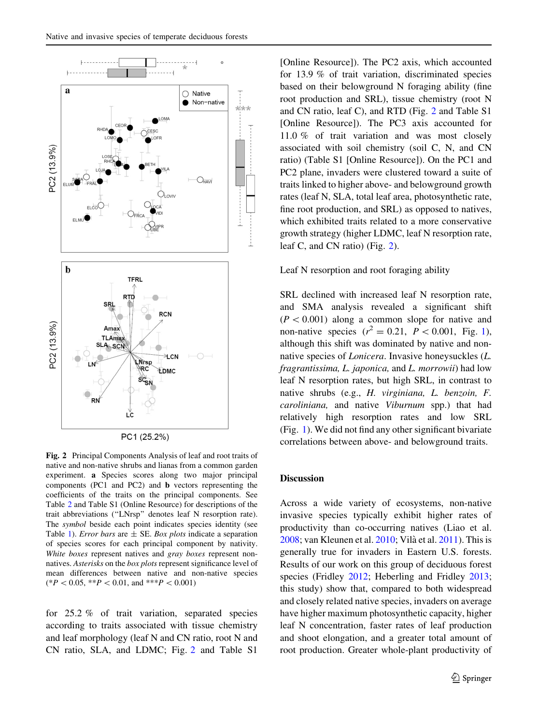<span id="page-6-0"></span>

Fig. 2 Principal Components Analysis of leaf and root traits of native and non-native shrubs and lianas from a common garden experiment. a Species scores along two major principal components (PC1 and PC2) and b vectors representing the coefficients of the traits on the principal components. See Table [2](#page-4-0) and Table S1 (Online Resource) for descriptions of the trait abbreviations (''LNrsp'' denotes leaf N resorption rate). The symbol beside each point indicates species identity (see Table [1](#page-2-0)). *Error bars* are  $\pm$  SE. *Box plots* indicate a separation of species scores for each principal component by nativity. White boxes represent natives and gray boxes represent nonnatives. Asterisks on the box plots represent significance level of mean differences between native and non-native species  $(*P < 0.05, **P < 0.01, and **P < 0.001)$ 

for 25.2 % of trait variation, separated species according to traits associated with tissue chemistry and leaf morphology (leaf N and CN ratio, root N and CN ratio, SLA, and LDMC; Fig. 2 and Table S1 [Online Resource]). The PC2 axis, which accounted for 13.9 % of trait variation, discriminated species based on their belowground N foraging ability (fine root production and SRL), tissue chemistry (root N and CN ratio, leaf C), and RTD (Fig. 2 and Table S1 [Online Resource]). The PC3 axis accounted for 11.0 % of trait variation and was most closely associated with soil chemistry (soil C, N, and CN ratio) (Table S1 [Online Resource]). On the PC1 and PC2 plane, invaders were clustered toward a suite of traits linked to higher above- and belowground growth rates (leaf N, SLA, total leaf area, photosynthetic rate, fine root production, and SRL) as opposed to natives, which exhibited traits related to a more conservative growth strategy (higher LDMC, leaf N resorption rate, leaf C, and CN ratio) (Fig. 2).

#### Leaf N resorption and root foraging ability

SRL declined with increased leaf N resorption rate, and SMA analysis revealed a significant shift  $(P<0.001)$  along a common slope for native and non-native species  $(r^2 = 0.21, P < 0.001,$  $(r^2 = 0.21, P < 0.001,$  $(r^2 = 0.21, P < 0.001,$  Fig. 1), although this shift was dominated by native and nonnative species of Lonicera. Invasive honeysuckles (L. fragrantissima, L. japonica, and L. morrowii) had low leaf N resorption rates, but high SRL, in contrast to native shrubs (e.g., H. virginiana, L. benzoin, F. caroliniana, and native Viburnum spp.) that had relatively high resorption rates and low SRL (Fig. [1](#page-5-0)). We did not find any other significant bivariate correlations between above- and belowground traits.

# **Discussion**

Across a wide variety of ecosystems, non-native invasive species typically exhibit higher rates of productivity than co-occurring natives (Liao et al. [2008;](#page-9-0) van Kleunen et al. [2010](#page-9-0); Vila` et al. [2011](#page-9-0)). This is generally true for invaders in Eastern U.S. forests. Results of our work on this group of deciduous forest species (Fridley [2012](#page-8-0); Heberling and Fridley [2013](#page-8-0); this study) show that, compared to both widespread and closely related native species, invaders on average have higher maximum photosynthetic capacity, higher leaf N concentration, faster rates of leaf production and shoot elongation, and a greater total amount of root production. Greater whole-plant productivity of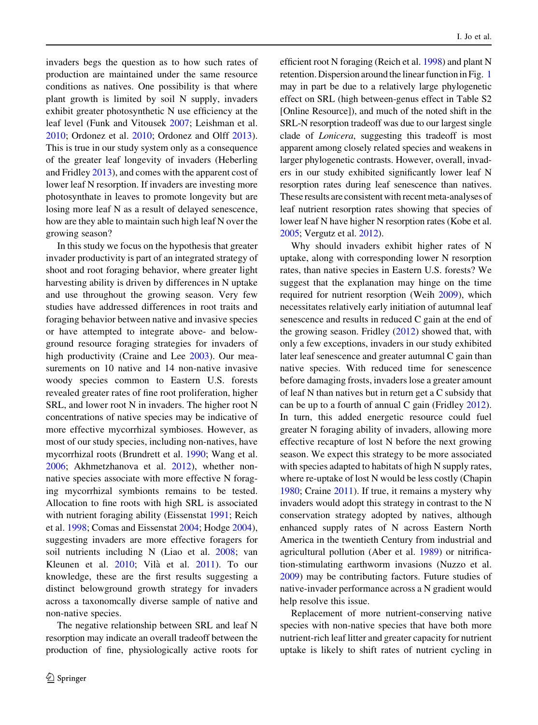invaders begs the question as to how such rates of production are maintained under the same resource conditions as natives. One possibility is that where plant growth is limited by soil N supply, invaders exhibit greater photosynthetic N use efficiency at the leaf level (Funk and Vitousek [2007;](#page-8-0) Leishman et al. [2010;](#page-8-0) Ordonez et al. [2010;](#page-9-0) Ordonez and Olff [2013](#page-9-0)). This is true in our study system only as a consequence of the greater leaf longevity of invaders (Heberling and Fridley [2013\)](#page-8-0), and comes with the apparent cost of lower leaf N resorption. If invaders are investing more photosynthate in leaves to promote longevity but are losing more leaf N as a result of delayed senescence, how are they able to maintain such high leaf N over the growing season?

In this study we focus on the hypothesis that greater invader productivity is part of an integrated strategy of shoot and root foraging behavior, where greater light harvesting ability is driven by differences in N uptake and use throughout the growing season. Very few studies have addressed differences in root traits and foraging behavior between native and invasive species or have attempted to integrate above- and belowground resource foraging strategies for invaders of high productivity (Craine and Lee [2003\)](#page-8-0). Our measurements on 10 native and 14 non-native invasive woody species common to Eastern U.S. forests revealed greater rates of fine root proliferation, higher SRL, and lower root N in invaders. The higher root N concentrations of native species may be indicative of more effective mycorrhizal symbioses. However, as most of our study species, including non-natives, have mycorrhizal roots (Brundrett et al. [1990](#page-8-0); Wang et al. [2006;](#page-9-0) Akhmetzhanova et al. [2012\)](#page-8-0), whether nonnative species associate with more effective N foraging mycorrhizal symbionts remains to be tested. Allocation to fine roots with high SRL is associated with nutrient foraging ability (Eissenstat [1991](#page-8-0); Reich et al. [1998](#page-9-0); Comas and Eissenstat [2004](#page-8-0); Hodge [2004](#page-8-0)), suggesting invaders are more effective foragers for soil nutrients including N (Liao et al. [2008](#page-9-0); van Kleunen et al. [2010;](#page-9-0) Vilà et al. [2011](#page-9-0)). To our knowledge, these are the first results suggesting a distinct belowground growth strategy for invaders across a taxonomcally diverse sample of native and non-native species.

The negative relationship between SRL and leaf N resorption may indicate an overall tradeoff between the production of fine, physiologically active roots for efficient root N foraging (Reich et al. [1998\)](#page-9-0) and plant N retention. Dispersion around the linear function in Fig. [1](#page-5-0) may in part be due to a relatively large phylogenetic effect on SRL (high between-genus effect in Table S2 [Online Resource]), and much of the noted shift in the SRL-N resorption tradeoff was due to our largest single clade of Lonicera, suggesting this tradeoff is most apparent among closely related species and weakens in larger phylogenetic contrasts. However, overall, invaders in our study exhibited significantly lower leaf N resorption rates during leaf senescence than natives. These results are consistent with recent meta-analyses of leaf nutrient resorption rates showing that species of lower leaf N have higher N resorption rates (Kobe et al. [2005](#page-8-0); Vergutz et al. [2012\)](#page-9-0).

Why should invaders exhibit higher rates of N uptake, along with corresponding lower N resorption rates, than native species in Eastern U.S. forests? We suggest that the explanation may hinge on the time required for nutrient resorption (Weih [2009](#page-9-0)), which necessitates relatively early initiation of autumnal leaf senescence and results in reduced C gain at the end of the growing season. Fridley ([2012\)](#page-8-0) showed that, with only a few exceptions, invaders in our study exhibited later leaf senescence and greater autumnal C gain than native species. With reduced time for senescence before damaging frosts, invaders lose a greater amount of leaf N than natives but in return get a C subsidy that can be up to a fourth of annual C gain (Fridley [2012](#page-8-0)). In turn, this added energetic resource could fuel greater N foraging ability of invaders, allowing more effective recapture of lost N before the next growing season. We expect this strategy to be more associated with species adapted to habitats of high N supply rates, where re-uptake of lost N would be less costly (Chapin [1980;](#page-8-0) Craine [2011\)](#page-8-0). If true, it remains a mystery why invaders would adopt this strategy in contrast to the N conservation strategy adopted by natives, although enhanced supply rates of N across Eastern North America in the twentieth Century from industrial and agricultural pollution (Aber et al. [1989\)](#page-8-0) or nitrification-stimulating earthworm invasions (Nuzzo et al. [2009\)](#page-9-0) may be contributing factors. Future studies of native-invader performance across a N gradient would help resolve this issue.

Replacement of more nutrient-conserving native species with non-native species that have both more nutrient-rich leaf litter and greater capacity for nutrient uptake is likely to shift rates of nutrient cycling in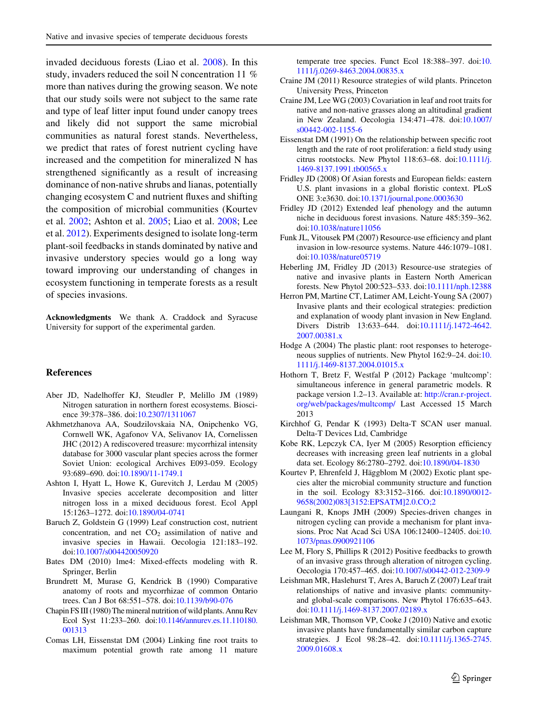<span id="page-8-0"></span>invaded deciduous forests (Liao et al. [2008](#page-9-0)). In this study, invaders reduced the soil N concentration 11 % more than natives during the growing season. We note that our study soils were not subject to the same rate and type of leaf litter input found under canopy trees and likely did not support the same microbial communities as natural forest stands. Nevertheless, we predict that rates of forest nutrient cycling have increased and the competition for mineralized N has strengthened significantly as a result of increasing dominance of non-native shrubs and lianas, potentially changing ecosystem C and nutrient fluxes and shifting the composition of microbial communities (Kourtev et al. 2002; Ashton et al. 2005; Liao et al. [2008](#page-9-0); Lee et al. 2012). Experiments designed to isolate long-term plant-soil feedbacks in stands dominated by native and invasive understory species would go a long way toward improving our understanding of changes in ecosystem functioning in temperate forests as a result of species invasions.

Acknowledgments We thank A. Craddock and Syracuse University for support of the experimental garden.

# References

- Aber JD, Nadelhoffer KJ, Steudler P, Melillo JM (1989) Nitrogen saturation in northern forest ecosystems. Bioscience 39:378–386. doi:[10.2307/1311067](http://dx.doi.org/10.2307/1311067)
- Akhmetzhanova AA, Soudzilovskaia NA, Onipchenko VG, Cornwell WK, Agafonov VA, Selivanov IA, Cornelissen JHC (2012) A rediscovered treasure: mycorrhizal intensity database for 3000 vascular plant species across the former Soviet Union: ecological Archives E093-059. Ecology 93:689–690. doi:[10.1890/11-1749.1](http://dx.doi.org/10.1890/11-1749.1)
- Ashton I, Hyatt L, Howe K, Gurevitch J, Lerdau M (2005) Invasive species accelerate decomposition and litter nitrogen loss in a mixed deciduous forest. Ecol Appl 15:1263–1272. doi[:10.1890/04-0741](http://dx.doi.org/10.1890/04-0741)
- Baruch Z, Goldstein G (1999) Leaf construction cost, nutrient concentration, and net  $CO<sub>2</sub>$  assimilation of native and invasive species in Hawaii. Oecologia 121:183–192. doi[:10.1007/s004420050920](http://dx.doi.org/10.1007/s004420050920)
- Bates DM (2010) lme4: Mixed-effects modeling with R. Springer, Berlin
- Brundrett M, Murase G, Kendrick B (1990) Comparative anatomy of roots and mycorrhizae of common Ontario trees. Can J Bot 68:551–578. doi:[10.1139/b90-076](http://dx.doi.org/10.1139/b90-076)
- Chapin FS III (1980) The mineral nutrition of wild plants. Annu Rev Ecol Syst 11:233–260. doi[:10.1146/annurev.es.11.110180.](http://dx.doi.org/10.1146/annurev.es.11.110180.001313) [001313](http://dx.doi.org/10.1146/annurev.es.11.110180.001313)
- Comas LH, Eissenstat DM (2004) Linking fine root traits to maximum potential growth rate among 11 mature

temperate tree species. Funct Ecol 18:388–397. doi:[10.](http://dx.doi.org/10.1111/j.0269-8463.2004.00835.x) [1111/j.0269-8463.2004.00835.x](http://dx.doi.org/10.1111/j.0269-8463.2004.00835.x)

- Craine JM (2011) Resource strategies of wild plants. Princeton University Press, Princeton
- Craine JM, Lee WG (2003) Covariation in leaf and root traits for native and non-native grasses along an altitudinal gradient in New Zealand. Oecologia 134:471–478. doi[:10.1007/](http://dx.doi.org/10.1007/s00442-002-1155-6) [s00442-002-1155-6](http://dx.doi.org/10.1007/s00442-002-1155-6)
- Eissenstat DM (1991) On the relationship between specific root length and the rate of root proliferation: a field study using citrus rootstocks. New Phytol 118:63–68. doi:[10.1111/j.](http://dx.doi.org/10.1111/j.1469-8137.1991.tb00565.x) [1469-8137.1991.tb00565.x](http://dx.doi.org/10.1111/j.1469-8137.1991.tb00565.x)
- Fridley JD (2008) Of Asian forests and European fields: eastern U.S. plant invasions in a global floristic context. PLoS ONE 3:e3630. doi:[10.1371/journal.pone.0003630](http://dx.doi.org/10.1371/journal.pone.0003630)
- Fridley JD (2012) Extended leaf phenology and the autumn niche in deciduous forest invasions. Nature 485:359–362. doi[:10.1038/nature11056](http://dx.doi.org/10.1038/nature11056)
- Funk JL, Vitousek PM (2007) Resource-use efficiency and plant invasion in low-resource systems. Nature 446:1079–1081. doi[:10.1038/nature05719](http://dx.doi.org/10.1038/nature05719)
- Heberling JM, Fridley JD (2013) Resource-use strategies of native and invasive plants in Eastern North American forests. New Phytol 200:523–533. doi[:10.1111/nph.12388](http://dx.doi.org/10.1111/nph.12388)
- Herron PM, Martine CT, Latimer AM, Leicht-Young SA (2007) Invasive plants and their ecological strategies: prediction and explanation of woody plant invasion in New England. Divers Distrib 13:633–644. doi[:10.1111/j.1472-4642.](http://dx.doi.org/10.1111/j.1472-4642.2007.00381.x) [2007.00381.x](http://dx.doi.org/10.1111/j.1472-4642.2007.00381.x)
- Hodge A (2004) The plastic plant: root responses to heterogeneous supplies of nutrients. New Phytol 162:9–24. doi:[10.](http://dx.doi.org/10.1111/j.1469-8137.2004.01015.x) [1111/j.1469-8137.2004.01015.x](http://dx.doi.org/10.1111/j.1469-8137.2004.01015.x)
- Hothorn T, Bretz F, Westfal P (2012) Package 'multcomp': simultaneous inference in general parametric models. R package version 1.2–13. Available at: [http://cran.r-project.](http://cran.r-project.org/web/packages/multcomp/) [org/web/packages/multcomp/](http://cran.r-project.org/web/packages/multcomp/) Last Accessed 15 March 2013
- Kirchhof G, Pendar K (1993) Delta-T SCAN user manual. Delta-T Devices Ltd, Cambridge
- Kobe RK, Lepczyk CA, Iyer M (2005) Resorption efficiency decreases with increasing green leaf nutrients in a global data set. Ecology 86:2780–2792. doi:[10.1890/04-1830](http://dx.doi.org/10.1890/04-1830)
- Kourtev P, Ehrenfeld J, Häggblom M (2002) Exotic plant species alter the microbial community structure and function in the soil. Ecology 83:3152–3166. doi:[10.1890/0012-](http://dx.doi.org/10.1890/0012-9658(2002)083%5b3152:EPSATM%5d2.0.CO;2) [9658\(2002\)083\[3152:EPSATM\]2.0.CO;2](http://dx.doi.org/10.1890/0012-9658(2002)083%5b3152:EPSATM%5d2.0.CO;2)
- Laungani R, Knops JMH (2009) Species-driven changes in nitrogen cycling can provide a mechanism for plant invasions. Proc Nat Acad Sci USA 106:12400–12405. doi:[10.](http://dx.doi.org/10.1073/pnas.0900921106) [1073/pnas.0900921106](http://dx.doi.org/10.1073/pnas.0900921106)
- Lee M, Flory S, Phillips R (2012) Positive feedbacks to growth of an invasive grass through alteration of nitrogen cycling. Oecologia 170:457–465. doi:[10.1007/s00442-012-2309-9](http://dx.doi.org/10.1007/s00442-012-2309-9)
- Leishman MR, Haslehurst T, Ares A, Baruch Z (2007) Leaf trait relationships of native and invasive plants: communityand global-scale comparisons. New Phytol 176:635–643. doi[:10.1111/j.1469-8137.2007.02189.x](http://dx.doi.org/10.1111/j.1469-8137.2007.02189.x)
- Leishman MR, Thomson VP, Cooke J (2010) Native and exotic invasive plants have fundamentally similar carbon capture strategies. J Ecol 98:28–42. doi[:10.1111/j.1365-2745.](http://dx.doi.org/10.1111/j.1365-2745.2009.01608.x) [2009.01608.x](http://dx.doi.org/10.1111/j.1365-2745.2009.01608.x)